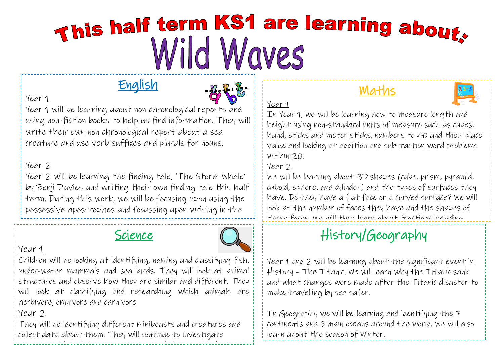# This half term KS1 are learning about. Wild Wayes

# English



#### Year 1

Year 1 will be learning about non chronological reports and using non-fiction books to help us find information. They will write their own non chronological report about a sea creature and use verb suffixes and plurals for nouns.

#### Year 2

Year 2 will be learning the finding tale, 'The Storm Whale' by Benji Davies and writing their own finding tale this half term. During this work, we will be focusing upon using the possessive apostrophes and focussing upon writing in the

# Science



#### Year 1

Children will be looking at identifying, naming and classifying fish, under-water mammals and sea birds. They will look at animal structures and observe how they are similar and different. They will look at classifying and researching which animals are herbivore, omnivore and carnivore

#### Year 2

They will be identifying different minibeasts and creatures and collect data about them. They will continue to investigate watery worlds by looking at oceans around the world and world and world and world and world and world and world and world and world and world and world and world and world and world and world and world and world and world

# Maths



In Year 1, we will be learning how to measure length and height using non-standard units of measure such as cubes, hand, sticks and meter sticks, numbers to 40 and their place value and looking at addition and subtraction word problems within 20.

#### Year 2

Year 1

We will be learning about 3D shapes (cube, prism, pyramid, cuboid, sphere, and cylinder) and the types of surfaces they have. Do they have a flat face or a curved surface? We will look at the number of faces they have and the shapes of these faces. We will then learn about fractions including

#### $h_{\alpha}$  is the proof continue to provide the proof of problems. We will continue to provide the proof of problems  $h_{\alpha}$ History/Geography

Year 1 and 2 will be learning about the significant event in History – The Titanic. We will learn why the Titanic sank and what changes were made after the Titanic disaster to make travelling by sea safer.

In Geography we will be learning and identifying the 7 continents and 5 main oceans around the world. We will also learn about the season of Winter.